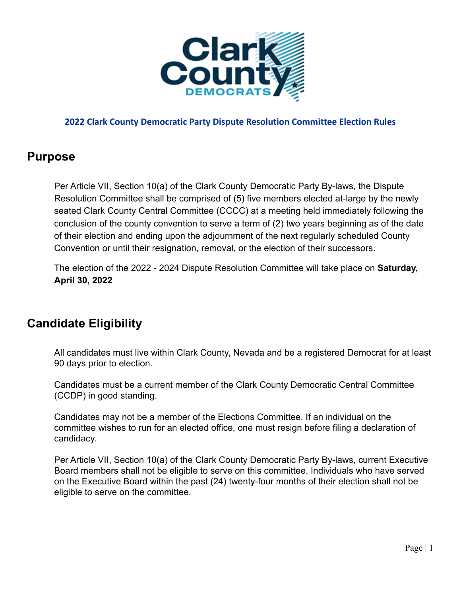

## **Purpose**

Per Article VII, Section 10(a) of the Clark County Democratic Party By-laws, the Dispute Resolution Committee shall be comprised of (5) five members elected at-large by the newly seated Clark County Central Committee (CCCC) at a meeting held immediately following the conclusion of the county convention to serve a term of (2) two years beginning as of the date of their election and ending upon the adjournment of the next regularly scheduled County Convention or until their resignation, removal, or the election of their successors.

The election of the 2022 - 2024 Dispute Resolution Committee will take place on **Saturday, April 30, 2022**

# **Candidate Eligibility**

All candidates must live within Clark County, Nevada and be a registered Democrat for at least 90 days prior to election.

Candidates must be a current member of the Clark County Democratic Central Committee (CCDP) in good standing.

Candidates may not be a member of the Elections Committee. If an individual on the committee wishes to run for an elected office, one must resign before filing a declaration of candidacy.

Per Article VII, Section 10(a) of the Clark County Democratic Party By-laws, current Executive Board members shall not be eligible to serve on this committee. Individuals who have served on the Executive Board within the past (24) twenty-four months of their election shall not be eligible to serve on the committee.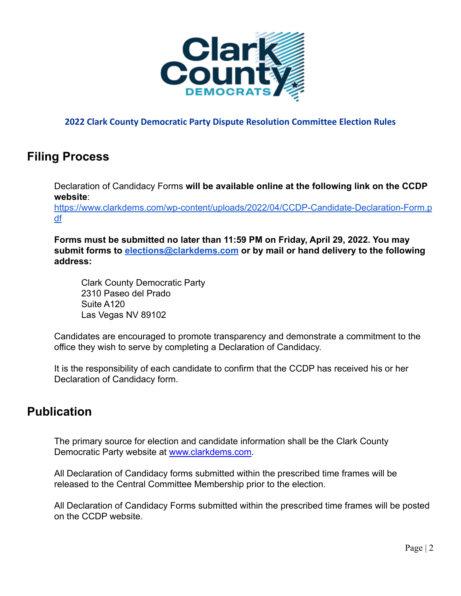

# **Filing Process**

Declaration of Candidacy Forms **will be available online at the following link on the CCDP website**:

[https://www.clarkdems.com/wp-content/uploads/2022/04/CCDP-Candidate-Declaration-Form.p](https://www.clarkdems.com/wp-content/uploads/2022/04/CCDP-Candidate-Declaration-Form.pdf) [df](https://www.clarkdems.com/wp-content/uploads/2022/04/CCDP-Candidate-Declaration-Form.pdf)

**Forms must be submitted no later than 11:59 PM on Friday, April 29, 2022. You may submit forms to [elections@clarkdems.com](mailto:elections@clarkdems.com) or by mail or hand delivery to the following address:**

Clark County Democratic Party 2310 Paseo del Prado Suite A120 Las Vegas NV 89102

Candidates are encouraged to promote transparency and demonstrate a commitment to the office they wish to serve by completing a Declaration of Candidacy.

It is the responsibility of each candidate to confirm that the CCDP has received his or her Declaration of Candidacy form.

## **Publication**

The primary source for election and candidate information shall be the Clark County Democratic Party website at [www.clarkdems.com](http://www.clarkdems.com).

All Declaration of Candidacy forms submitted within the prescribed time frames will be released to the Central Committee Membership prior to the election.

All Declaration of Candidacy Forms submitted within the prescribed time frames will be posted on the CCDP website.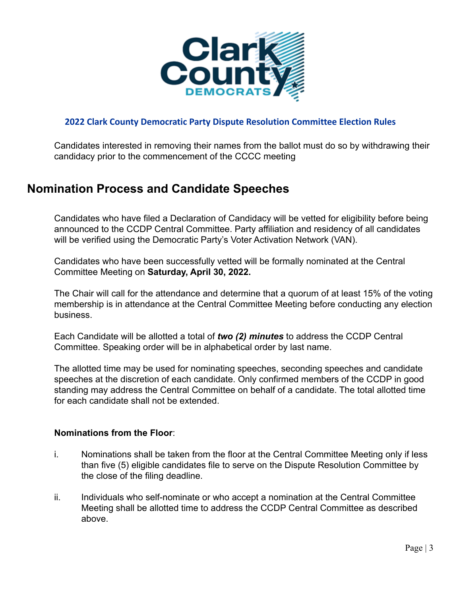

Candidates interested in removing their names from the ballot must do so by withdrawing their candidacy prior to the commencement of the CCCC meeting

## **Nomination Process and Candidate Speeches**

Candidates who have filed a Declaration of Candidacy will be vetted for eligibility before being announced to the CCDP Central Committee. Party affiliation and residency of all candidates will be verified using the Democratic Party's Voter Activation Network (VAN).

Candidates who have been successfully vetted will be formally nominated at the Central Committee Meeting on **Saturday, April 30, 2022.**

The Chair will call for the attendance and determine that a quorum of at least 15% of the voting membership is in attendance at the Central Committee Meeting before conducting any election business.

Each Candidate will be allotted a total of *two (2) minutes* to address the CCDP Central Committee. Speaking order will be in alphabetical order by last name.

The allotted time may be used for nominating speeches, seconding speeches and candidate speeches at the discretion of each candidate. Only confirmed members of the CCDP in good standing may address the Central Committee on behalf of a candidate. The total allotted time for each candidate shall not be extended.

#### **Nominations from the Floor**:

- i. Nominations shall be taken from the floor at the Central Committee Meeting only if less than five (5) eligible candidates file to serve on the Dispute Resolution Committee by the close of the filing deadline.
- ii. Individuals who self-nominate or who accept a nomination at the Central Committee Meeting shall be allotted time to address the CCDP Central Committee as described above.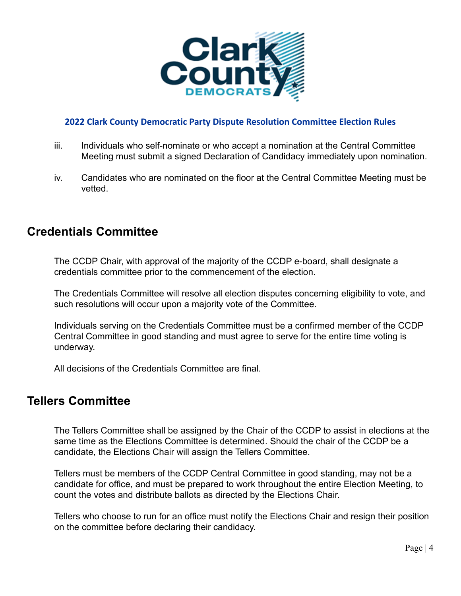

- iii. Individuals who self-nominate or who accept a nomination at the Central Committee Meeting must submit a signed Declaration of Candidacy immediately upon nomination.
- iv. Candidates who are nominated on the floor at the Central Committee Meeting must be vetted.

## **Credentials Committee**

The CCDP Chair, with approval of the majority of the CCDP e-board, shall designate a credentials committee prior to the commencement of the election.

The Credentials Committee will resolve all election disputes concerning eligibility to vote, and such resolutions will occur upon a majority vote of the Committee.

Individuals serving on the Credentials Committee must be a confirmed member of the CCDP Central Committee in good standing and must agree to serve for the entire time voting is underway.

All decisions of the Credentials Committee are final.

### **Tellers Committee**

The Tellers Committee shall be assigned by the Chair of the CCDP to assist in elections at the same time as the Elections Committee is determined. Should the chair of the CCDP be a candidate, the Elections Chair will assign the Tellers Committee.

Tellers must be members of the CCDP Central Committee in good standing, may not be a candidate for office, and must be prepared to work throughout the entire Election Meeting, to count the votes and distribute ballots as directed by the Elections Chair.

Tellers who choose to run for an office must notify the Elections Chair and resign their position on the committee before declaring their candidacy.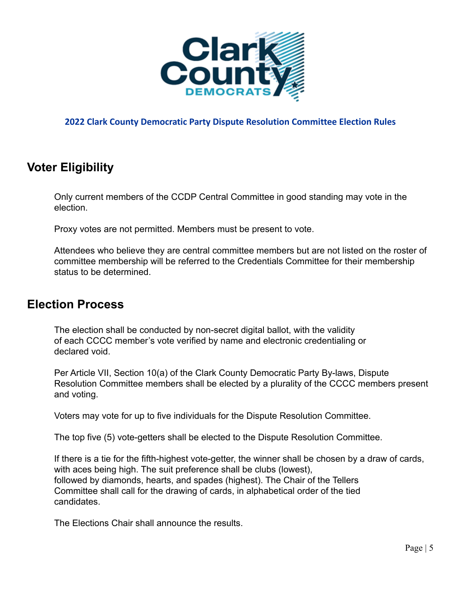

## **Voter Eligibility**

Only current members of the CCDP Central Committee in good standing may vote in the election.

Proxy votes are not permitted. Members must be present to vote.

Attendees who believe they are central committee members but are not listed on the roster of committee membership will be referred to the Credentials Committee for their membership status to be determined.

### **Election Process**

The election shall be conducted by non-secret digital ballot, with the validity of each CCCC member's vote verified by name and electronic credentialing or declared void.

Per Article VII, Section 10(a) of the Clark County Democratic Party By-laws, Dispute Resolution Committee members shall be elected by a plurality of the CCCC members present and voting.

Voters may vote for up to five individuals for the Dispute Resolution Committee.

The top five (5) vote-getters shall be elected to the Dispute Resolution Committee.

If there is a tie for the fifth-highest vote-getter, the winner shall be chosen by a draw of cards, with aces being high. The suit preference shall be clubs (lowest), followed by diamonds, hearts, and spades (highest). The Chair of the Tellers Committee shall call for the drawing of cards, in alphabetical order of the tied candidates.

The Elections Chair shall announce the results.